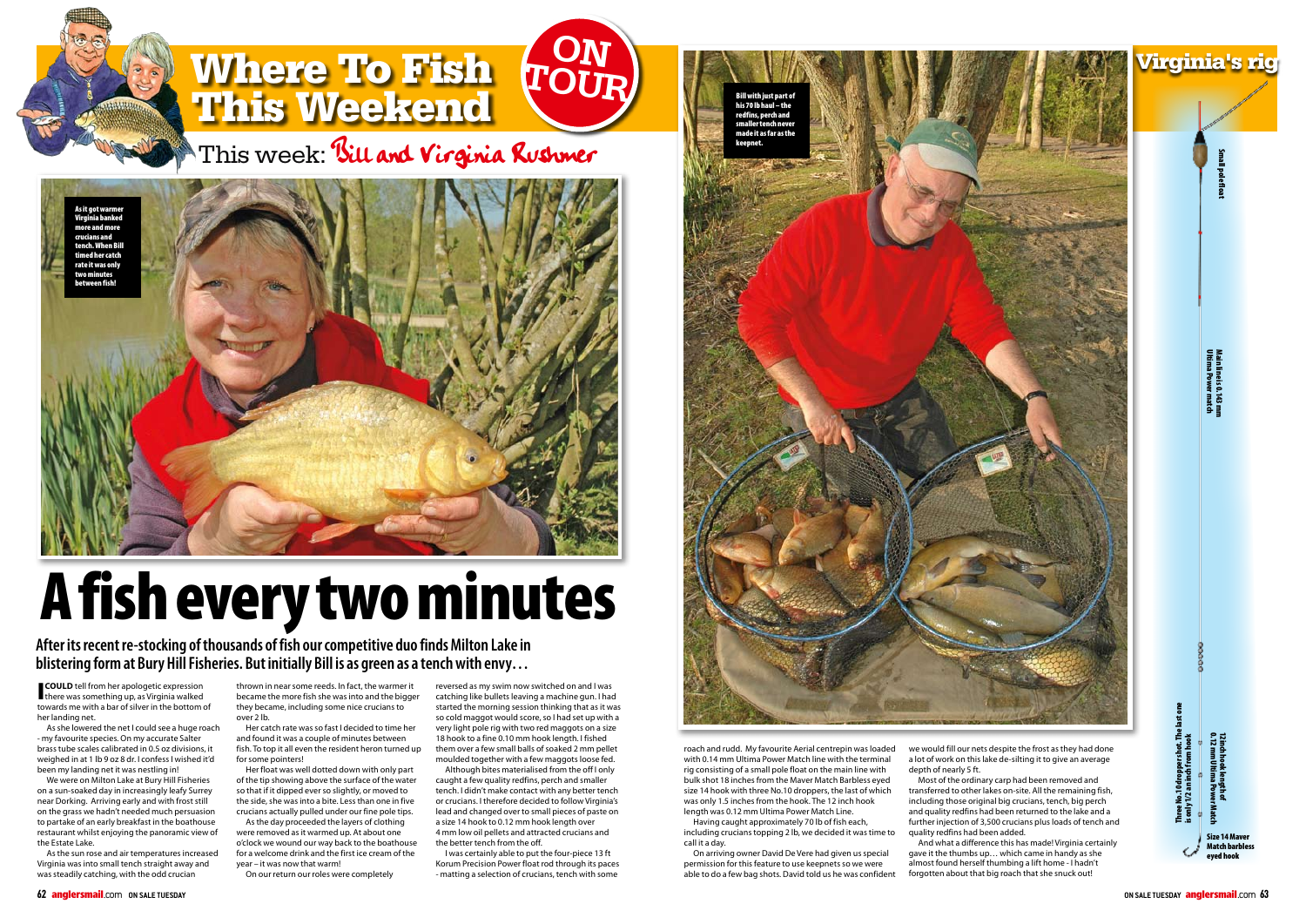

**After its recent re-stocking of thousands of fish our competitive duo finds Milton Lake in blistering form at Bury Hill Fisheries. But initially Bill is as green as a tench with envy…**

**COULD** tell from her apologetic expression there was something up, as Virginia walked towards me with a bar of silver in the bottom of her landing net.

As she lowered the net I could see a huge roach - my favourite species. On my accurate Salter brass tube scales calibrated in 0.5 oz divisions, it weighed in at 1 lb 9 oz 8 dr. I confess I wished it'd been my landing net it was nestling in!

We were on Milton Lake at Bury Hill Fisheries on a sun-soaked day in increasingly leafy Surrey near Dorking. Arriving early and with frost still on the grass we hadn't needed much persuasion to partake of an early breakfast in the boathouse restaurant whilst enjoying the panoramic view of the Estate Lake.

As the sun rose and air temperatures increased Virginia was into small tench straight away and was steadily catching, with the odd crucian

thrown in near some reeds. In fact, the warmer it became the more fish she was into and the bigger they became, including some nice crucians to over 2 lb.

Her catch rate was so fast I decided to time her and found it was a couple of minutes between fish. To top it all even the resident heron turned up for some pointers!

Her float was well dotted down with only part of the tip showing above the surface of the water so that if it dipped ever so slightly, or moved to the side, she was into a bite. Less than one in five crucians actually pulled under our fine pole tips.

As the day proceeded the layers of clothing were removed as it warmed up. At about one o'clock we wound our way back to the boathouse for a welcome drink and the first ice cream of the year – it was now that warm!

On our return our roles were completely

reversed as my swim now switched on and I was catching like bullets leaving a machine gun. I had started the morning session thinking that as it was so cold maggot would score, so I had set up with a very light pole rig with two red maggots on a size 18 hook to a fine 0.10 mm hook length. I fished them over a few small balls of soaked 2 mm pellet moulded together with a few maggots loose fed.

Although bites materialised from the off I only caught a few quality redfins, perch and smaller tench. I didn't make contact with any better tench or crucians. I therefore decided to follow Virginia's lead and changed over to small pieces of paste on a size 14 hook to 0.12 mm hook length over 4 mm low oil pellets and attracted crucians and the better tench from the off.

I was certainly able to put the four-piece 13 ft Korum Precision Power float rod through its paces - matting a selection of crucians, tench with some

roach and rudd. My favourite Aerial centrepin was loaded with 0.14 mm Ultima Power Match line with the terminal rig consisting of a small pole float on the main line with bulk shot 18 inches from the Maver Match Barbless eyed size 14 hook with three No.10 droppers, the last of which was only 1.5 inches from the hook. The 12 inch hook length was 0.12 mm Ultima Power Match Line.

Having caught approximately 70 lb of fish each, including crucians topping 2 lb, we decided it was time to call it a day.

On arriving owner David De Vere had given us special permission for this feature to use keepnets so we were able to do a few bag shots. David told us he was confident

we would fill our nets despite the frost as they had done a lot of work on this lake de-silting it to give an average depth of nearly 5 ft.

Most of the ordinary carp had been removed and transferred to other lakes on-site. All the remaining fish, including those original big crucians, tench, big perch and quality redfins had been returned to the lake and a further injection of 3,500 crucians plus loads of tench and quality redfins had been added.

And what a difference this has made! Virginia certainly gave it the thumbs up… which came in handy as she almost found herself thumbing a lift home - I hadn't forgotten about that big roach that she snuck out!



## A fish every two minutes



This week: Bill and Virginia Rushmer



Bill with just part of his 70 lb haul – the redfins, perch and smaller tench never nade it as far as th keepnet.